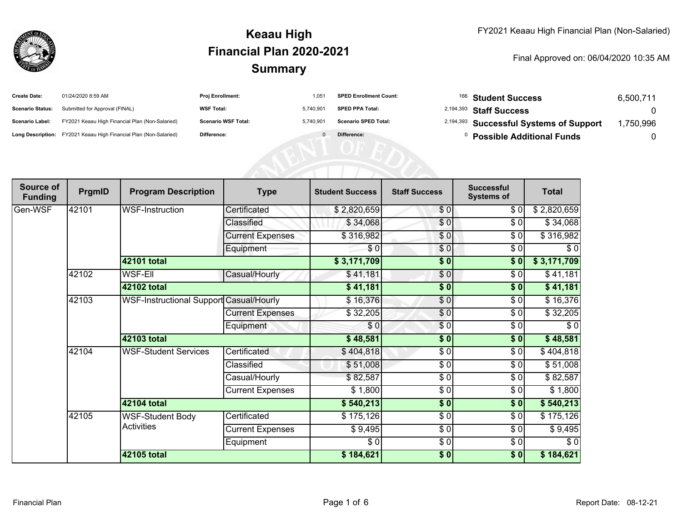

| <b>Create Date:</b>     | 01/24/2020 8:59 AM                                                | <b>Proj Enrollment:</b>    | $1.05^{\circ}$ | <b>SPED Enrollment Count:</b> | <sup>166</sup> Student Success                     | 6,500,711 |
|-------------------------|-------------------------------------------------------------------|----------------------------|----------------|-------------------------------|----------------------------------------------------|-----------|
| <b>Scenario Status:</b> | Submitted for Approval (FINAL)                                    | <b>WSF Total:</b>          | 5.740.90       | <b>SPED PPA Total:</b>        | <sup>2,194,393</sup> Staff Success                 |           |
| <b>Scenario Label:</b>  | FY2021 Keaau High Financial Plan (Non-Salaried)                   | <b>Scenario WSF Total:</b> | 5.740.90'      | <b>Scenario SPED Total:</b>   | <sup>2,194,393</sup> Successful Systems of Support | ,750,996  |
|                         | Long Description: FY2021 Keaau High Financial Plan (Non-Salaried) | Difference:                |                | Difference:                   | <b>Possible Additional Funds</b>                   |           |

| Source of<br><b>Funding</b> | PrgmID | <b>Program Description</b>              | <b>Type</b>             | <b>Student Success</b> | <b>Staff Success</b> | <b>Successful</b><br><b>Systems of</b> | <b>Total</b> |
|-----------------------------|--------|-----------------------------------------|-------------------------|------------------------|----------------------|----------------------------------------|--------------|
| Gen-WSF                     | 42101  | WSF-Instruction                         | Certificated            | \$2,820,659            | \$0                  | \$0                                    | \$2,820,659  |
|                             |        |                                         | Classified              | \$34,068               | \$0                  | $\sqrt{6}$                             | \$34,068     |
|                             |        |                                         | <b>Current Expenses</b> | \$316,982              | \$0                  | \$0                                    | \$316,982    |
|                             |        |                                         | Equipment               | \$0                    | \$0                  | \$0                                    | \$0          |
|                             |        | 42101 total                             |                         | \$3,171,709            | \$0                  | \$0                                    | \$3,171,709  |
|                             | 42102  | WSF-Ell                                 | Casual/Hourly           | \$41,181               | \$0                  | \$0                                    | \$41,181     |
|                             |        | 42102 total                             |                         | \$41,181               | $\frac{1}{6}$        | $\sqrt{6}$                             | \$41,181     |
|                             | 42103  | WSF-Instructional Support Casual/Hourly |                         | \$16,376               | $\sqrt{6}$           | \$0                                    | \$16,376     |
|                             |        |                                         | <b>Current Expenses</b> | \$32,205               | \$0                  | \$0                                    | \$32,205     |
|                             |        |                                         | Equipment               | \$0                    | $\frac{6}{3}$        | $\frac{6}{6}$                          | $\sqrt{6}$   |
|                             |        | 42103 total                             |                         | \$48,581               | \$0                  | \$0                                    | \$48,581     |
|                             | 42104  | <b>WSF-Student Services</b>             | Certificated            | \$404,818              | \$0                  | \$0                                    | \$404,818    |
|                             |        |                                         | Classified              | \$51,008               | $\frac{3}{2}$        | \$0                                    | \$51,008     |
|                             |        |                                         | Casual/Hourly           | \$82,587               | \$0                  | \$0                                    | \$82,587     |
|                             |        |                                         | <b>Current Expenses</b> | \$1,800                | $\frac{3}{2}$        | $\frac{1}{\sqrt{2}}$                   | \$1,800      |
|                             |        | 42104 total                             |                         | \$540,213              | \$0                  | \$0                                    | \$540,213    |
|                             | 42105  | <b>WSF-Student Body</b>                 | Certificated            | \$175,126              | $\sqrt{6}$           | $\frac{1}{\sqrt{2}}$                   | \$175,126    |
|                             |        | <b>Activities</b>                       | Current Expenses        | \$9,495                | $\frac{3}{2}$        | \$0                                    | \$9,495      |
|                             |        |                                         | Equipment               | \$0                    | $\frac{3}{2}$        | \$0                                    | \$0          |
|                             |        | 42105 total                             |                         | \$184,621              | \$0                  | \$0                                    | \$184,621    |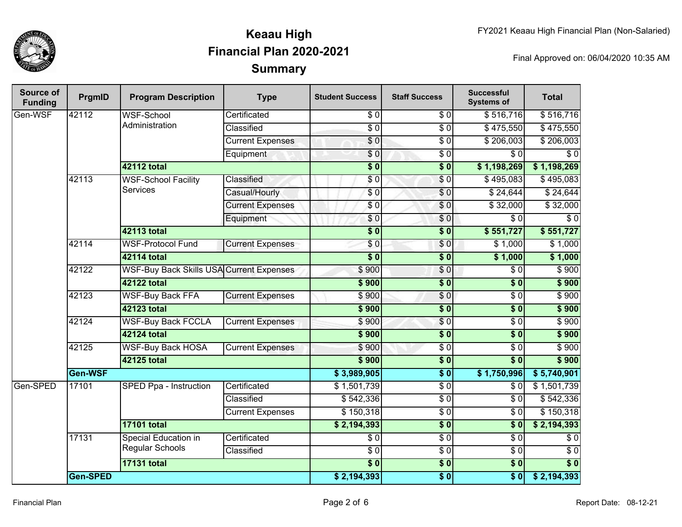

| Source of<br><b>Funding</b> | PrgmID   | <b>Program Description</b>                      | <b>Type</b>             | <b>Student Success</b> | <b>Staff Success</b> | <b>Successful</b><br><b>Systems of</b> | <b>Total</b>     |
|-----------------------------|----------|-------------------------------------------------|-------------------------|------------------------|----------------------|----------------------------------------|------------------|
| Gen-WSF                     | 42112    | <b>WSF-School</b><br>Administration             | Certificated            | \$0                    | \$0                  | \$516,716                              | \$516,716        |
|                             |          |                                                 | Classified              | $\overline{\$0}$       | $\overline{S}0$      | \$475,550                              | \$475,550        |
|                             |          |                                                 | <b>Current Expenses</b> | $\sqrt{6}$             | $\overline{30}$      | \$206,003                              | \$206,003        |
|                             |          |                                                 | Equipment               | \$0                    | $\overline{30}$      | $\overline{\$0}$                       | $\overline{\$0}$ |
|                             |          | <b>42112 total</b>                              |                         | $\overline{\$0}$       | $\overline{\$0}$     | \$1,198,269                            | \$1,198,269      |
|                             | 42113    | <b>WSF-School Facility</b>                      | Classified              | \$0                    | $\sqrt{6}$           | \$495,083                              | \$495,083        |
|                             |          | <b>Services</b>                                 | Casual/Hourly           | $\overline{\$0}$       | \$0                  | \$24,644                               | \$24,644         |
|                             |          |                                                 | <b>Current Expenses</b> | \$0                    | \$0                  | \$32,000                               | \$32,000         |
|                             |          |                                                 | Equipment               | \$0                    | \$0                  | $\overline{\$0}$                       | $\overline{\$0}$ |
|                             |          | <b>42113 total</b>                              |                         | $\overline{\$0}$       | $\overline{\$0}$     | \$551,727                              | \$551,727        |
|                             | 42114    | <b>WSF-Protocol Fund</b>                        | <b>Current Expenses</b> | \$0                    | \$0                  | \$1,000                                | \$1,000          |
|                             |          | <b>42114 total</b>                              |                         | $\overline{\$0}$       | $\overline{\$0}$     | \$1,000                                | \$1,000          |
|                             | 42122    | <b>WSF-Buy Back Skills USA Current Expenses</b> |                         | \$900                  | \$0                  | \$0                                    | \$900            |
|                             |          | 42122 total                                     |                         | \$900                  | $\sqrt{6}$           | $\overline{\$0}$                       | \$900            |
|                             | 42123    | <b>WSF-Buy Back FFA</b>                         | <b>Current Expenses</b> | \$900                  | \$0                  | $\overline{\$0}$                       | \$900            |
|                             |          | 42123 total                                     |                         | \$900                  | $\overline{\$0}$     | $\overline{\$0}$                       | \$900            |
|                             | 42124    | <b>WSF-Buy Back FCCLA</b>                       | <b>Current Expenses</b> | \$900                  | \$0                  | $\overline{\$0}$                       | \$900            |
|                             |          | 42124 total                                     |                         | \$900                  | $\overline{\$0}$     | $\overline{\$0}$                       | \$900            |
|                             | 42125    | <b>WSF-Buy Back HOSA</b>                        | <b>Current Expenses</b> | \$900                  | $\overline{30}$      | $\overline{\$0}$                       | \$900            |
|                             |          | 42125 total                                     |                         | \$900                  | $\sqrt{6}$           | $\overline{\$0}$                       | \$900            |
|                             | Gen-WSF  |                                                 |                         | \$3,989,905            | $\overline{\$0}$     | \$1,750,996                            | \$5,740,901      |
| Gen-SPED                    | 17101    | SPED Ppa - Instruction                          | Certificated            | \$1,501,739            | $\overline{30}$      | $\overline{\$0}$                       | \$1,501,739      |
|                             |          |                                                 | Classified              | \$542,336              | $\overline{30}$      | $\overline{\$0}$                       | \$542,336        |
|                             |          |                                                 | <b>Current Expenses</b> | \$150,318              | $\overline{S}0$      | $\overline{\$0}$                       | \$150,318        |
|                             |          | <b>17101 total</b>                              |                         | \$2,194,393            | $\overline{\$0}$     | \$0                                    | \$2,194,393      |
|                             | 17131    | <b>Special Education in</b>                     | Certificated            | $\sqrt{6}$             | $\overline{30}$      | $\overline{\$0}$                       | $\sqrt{6}$       |
|                             |          | <b>Regular Schools</b>                          | Classified              | $\sqrt{6}$             | $\overline{30}$      | $\sqrt{6}$                             | $\sqrt{6}$       |
|                             |          | <b>17131 total</b>                              |                         | $\overline{\$0}$       | $\overline{\$0}$     | $\overline{\$0}$                       | $\overline{\$0}$ |
|                             | Gen-SPED |                                                 |                         | \$2,194,393            | $\overline{\$0}$     | $\overline{\$0}$                       | \$2,194,393      |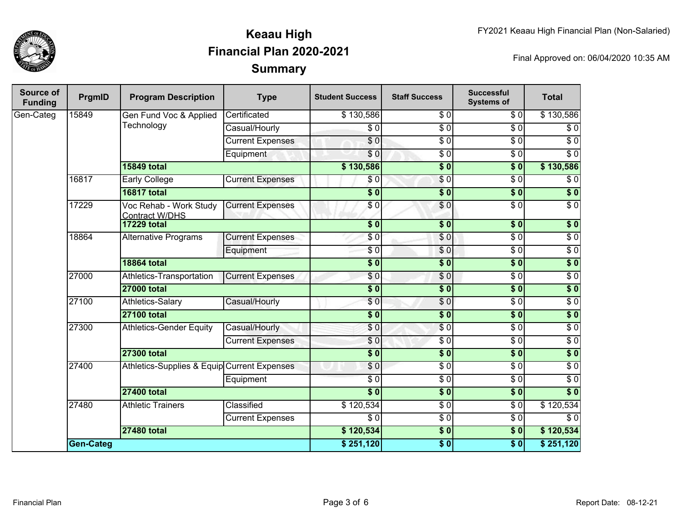

| Source of<br><b>Funding</b> | PrgmID    | <b>Program Description</b>                      | <b>Type</b>             | <b>Student Success</b>    | <b>Staff Success</b>      | <b>Successful</b><br><b>Systems of</b> | <b>Total</b>     |
|-----------------------------|-----------|-------------------------------------------------|-------------------------|---------------------------|---------------------------|----------------------------------------|------------------|
| Gen-Categ                   | 15849     | Gen Fund Voc & Applied<br>Technology            | Certificated            | \$130,586                 | \$0                       | \$0                                    | \$130,586        |
|                             |           |                                                 | Casual/Hourly           | $\overline{\$0}$          | $\overline{\$0}$          | $\overline{\$0}$                       | $\overline{\$0}$ |
|                             |           |                                                 | <b>Current Expenses</b> | $\overline{\$0}$          | $\overline{\$0}$          | $\overline{\$0}$                       | $\overline{\$0}$ |
|                             |           |                                                 | Equipment               | \$0                       | $\overline{50}$           | $\overline{\$0}$                       | $\overline{\$0}$ |
|                             |           | <b>15849 total</b>                              |                         | \$130,586                 | $\overline{\$0}$          | $\overline{\$0}$                       | \$130,586        |
|                             | 16817     | <b>Early College</b>                            | <b>Current Expenses</b> | \$0                       | $\sqrt{6}$                | $\overline{\$0}$                       | $\overline{\$0}$ |
|                             |           | <b>16817 total</b>                              |                         | $\overline{\$0}$          | $\overline{\$0}$          | $\overline{\$0}$                       | $\overline{\$0}$ |
|                             | 17229     | Voc Rehab - Work Study<br><b>Contract W/DHS</b> | <b>Current Expenses</b> | \$0                       | $\overline{\$0}$          | $\overline{\$0}$                       | $\overline{\$0}$ |
|                             |           | <b>17229 total</b>                              |                         | $\overline{\textbf{50}}$  | $\overline{\$0}$          | s <sub>0</sub>                         | \$0              |
|                             | 18864     | <b>Alternative Programs</b>                     | <b>Current Expenses</b> | \$0                       | $\overline{\$0}$          | $\overline{\$0}$                       | $\overline{\$0}$ |
|                             |           |                                                 | Equipment               | $\overline{\$0}$          | $\sqrt{6}$                | $\overline{\$0}$                       | $\overline{\$0}$ |
|                             |           | <b>18864 total</b>                              |                         | $\overline{\$0}$          | $\overline{\$0}$          | s <sub>0</sub>                         | $\overline{\$0}$ |
|                             | 27000     | Athletics-Transportation                        | <b>Current Expenses</b> | $\overline{\$0}$          | $\overline{\$0}$          | $\sqrt{6}$                             | $\overline{\$0}$ |
|                             |           | <b>27000 total</b>                              |                         | $\overline{\textbf{S}^0}$ | $\overline{\textbf{S}^0}$ | s <sub>0</sub>                         | $\overline{\$0}$ |
|                             | 27100     | Athletics-Salary                                | Casual/Hourly           | $\overline{\$0}$          | $\overline{S}0$           | $\overline{\$0}$                       | $\overline{\$0}$ |
|                             |           | <b>27100 total</b>                              |                         | $\overline{\$0}$          | $\overline{\$0}$          | $\overline{\$0}$                       | $\overline{\$0}$ |
|                             | 27300     | <b>Athletics-Gender Equity</b>                  | Casual/Hourly           | \$0                       | $\overline{\$0}$          | $\overline{\$0}$                       | $\overline{\$0}$ |
|                             |           |                                                 | <b>Current Expenses</b> | $\overline{\$0}$          | $\overline{\$0}$          | $\overline{\$0}$                       | $\overline{\$0}$ |
|                             |           | <b>27300 total</b>                              |                         | $\overline{\$0}$          | $\overline{\$0}$          | $\overline{\$0}$                       | $\overline{\$0}$ |
|                             | 27400     | Athletics-Supplies & Equip Current Expenses     |                         | \$0                       | $\overline{\$0}$          | $\overline{\$0}$                       | $\overline{\$0}$ |
|                             |           |                                                 | Equipment               | $\overline{\$0}$          | $\overline{\$0}$          | $\overline{\$0}$                       | $\overline{\$0}$ |
|                             |           | <b>27400 total</b>                              |                         | $\overline{\$0}$          | $\overline{\$0}$          | $\overline{\$0}$                       | $\overline{\$0}$ |
|                             | 27480     | <b>Athletic Trainers</b>                        | Classified              | \$120,534                 | $\overline{\$0}$          | $\overline{\$0}$                       | \$120,534        |
|                             |           |                                                 | <b>Current Expenses</b> | $\overline{\$0}$          | $\overline{\$0}$          | $\overline{\$0}$                       | $\overline{\$0}$ |
|                             |           | <b>27480 total</b>                              |                         | \$120,534                 | \$0                       | $\overline{\textbf{50}}$               | \$120,534        |
|                             | Gen-Categ |                                                 |                         | \$251,120                 | $\overline{\$0}$          | \$0                                    | \$251,120        |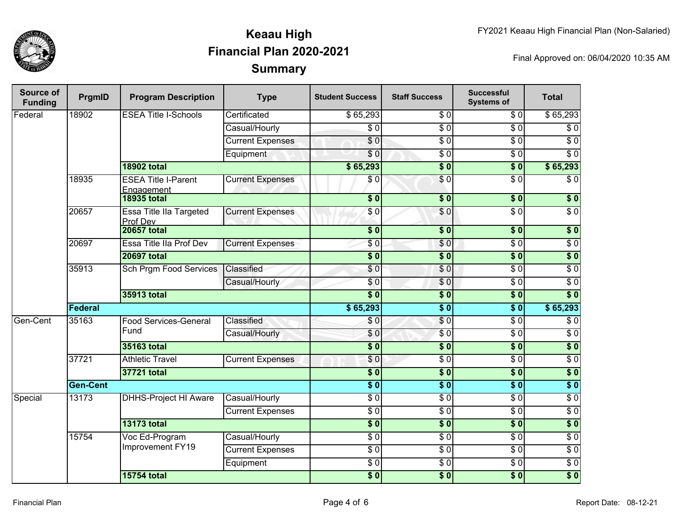

| Source of<br><b>Funding</b> | PrgmID          | <b>Program Description</b>                 | <b>Type</b>             | <b>Student Success</b> | <b>Staff Success</b> | <b>Successful</b><br><b>Systems of</b> | <b>Total</b>     |
|-----------------------------|-----------------|--------------------------------------------|-------------------------|------------------------|----------------------|----------------------------------------|------------------|
| Federal                     | 18902           | <b>ESEA Title I-Schools</b>                | Certificated            | \$65,293               | \$0                  | \$0                                    | \$65,293         |
|                             |                 |                                            | Casual/Hourly           | $\overline{\$0}$       | $\overline{\$0}$     | $\overline{30}$                        | \$0              |
|                             |                 |                                            | <b>Current Expenses</b> | $\overline{\$0}$       | $\overline{\$0}$     | $\overline{\$0}$                       | $\overline{\$0}$ |
|                             |                 |                                            | Equipment               | $\overline{\$0}$       | $\overline{\$0}$     | $\overline{30}$                        | $\overline{\$0}$ |
|                             |                 | <b>18902 total</b>                         |                         | \$65,293               | $\overline{\$0}$     | $\overline{\$0}$                       | \$65,293         |
|                             | 18935           | <b>ESEA Title I-Parent</b><br>Engagement   | <b>Current Expenses</b> | \$0                    | $\overline{\$0}$     | $\overline{S}0$                        | $\overline{\$0}$ |
|                             |                 | <b>18935 total</b>                         |                         | $\overline{\bullet}$   | $\sqrt{6}$           | $\overline{\$0}$                       | $\sqrt{6}$       |
|                             | 20657           | <b>Essa Title IIa Targeted</b><br>Prof Dev | <b>Current Expenses</b> | \$0                    | \$0                  | $\overline{\$0}$                       | $\overline{\$0}$ |
|                             |                 | <b>20657 total</b>                         |                         | $\sqrt{6}$             | $\overline{\$0}$     | $\overline{\$0}$                       | $\overline{\$0}$ |
|                             | 20697           | Essa Title IIa Prof Dev                    | <b>Current Expenses</b> | \$0                    | \$0                  | $\overline{S}0$                        | $\overline{S}0$  |
|                             |                 | <b>20697 total</b>                         |                         | \$0                    | $\overline{\$}0$     | $\overline{\$0}$                       | \$0              |
|                             | 35913           | <b>Sch Prgm Food Services</b>              | Classified              | \$0                    | \$0                  | $\overline{S}0$                        | $\sqrt{6}$       |
|                             |                 |                                            | Casual/Hourly           | \$0                    | $\sqrt{0}$           | $\overline{S}0$                        | $\overline{S}0$  |
|                             |                 | <b>35913 total</b>                         |                         | $\overline{\$0}$       | $\sqrt{6}$           | \$0                                    | $\overline{\$0}$ |
|                             | Federal         |                                            |                         | \$65,293               | $\overline{\$0}$     | $\overline{\$0}$                       | \$65,293         |
| Gen-Cent                    | 35163           | <b>Food Services-General</b>               | Classified              | \$0                    | \$0                  | $\sqrt{6}$                             | $\sqrt{6}$       |
|                             |                 | Fund                                       | Casual/Hourly           | \$0                    | $\overline{60}$      | $\overline{S}0$                        | $\overline{S}0$  |
|                             |                 | 35163 total                                |                         | $\overline{\$0}$       | $\overline{\$0}$     | $\overline{\$0}$                       | $\overline{\$0}$ |
|                             | 37721           | <b>Athletic Travel</b>                     | <b>Current Expenses</b> | \$0                    | $\sqrt{6}$           | $\overline{S}0$                        | $\sqrt{6}$       |
|                             |                 | 37721 total                                |                         | $\overline{\$0}$       | $\overline{\$0}$     | $\overline{\$0}$                       | $\overline{\$0}$ |
|                             | <b>Gen-Cent</b> |                                            |                         | $\overline{\$0}$       | $\sqrt{6}$           | $\overline{\$0}$                       | $\overline{\$0}$ |
| Special                     | 13173           | <b>DHHS-Project HI Aware</b>               | Casual/Hourly           | $\overline{S}0$        | $\overline{\$0}$     | $\sqrt{6}$                             | $\overline{S}0$  |
|                             |                 |                                            | <b>Current Expenses</b> | $\overline{S}0$        | $\sqrt{6}$           | $\overline{S}0$                        | $\overline{S}0$  |
|                             |                 | <b>13173 total</b>                         |                         | $\overline{\$0}$       | $\overline{\$0}$     | $\overline{\$0}$                       | $\overline{\$0}$ |
|                             | 15754           | Voc Ed-Program                             | Casual/Hourly           | $\overline{S}0$        | $\overline{60}$      | $\overline{S}0$                        | $\overline{S}0$  |
|                             |                 | Improvement FY19                           | <b>Current Expenses</b> | $\overline{\$0}$       | $\overline{\$0}$     | $\sqrt{6}$                             | $\overline{50}$  |
|                             |                 |                                            | Equipment               | $\sqrt{6}$             | $\overline{\$0}$     | $\sqrt{6}$                             | $\sqrt{6}$       |
|                             |                 | <b>15754 total</b>                         |                         | $\overline{\$0}$       | $\overline{\$}0$     | $\sqrt{6}$                             | $\overline{\$0}$ |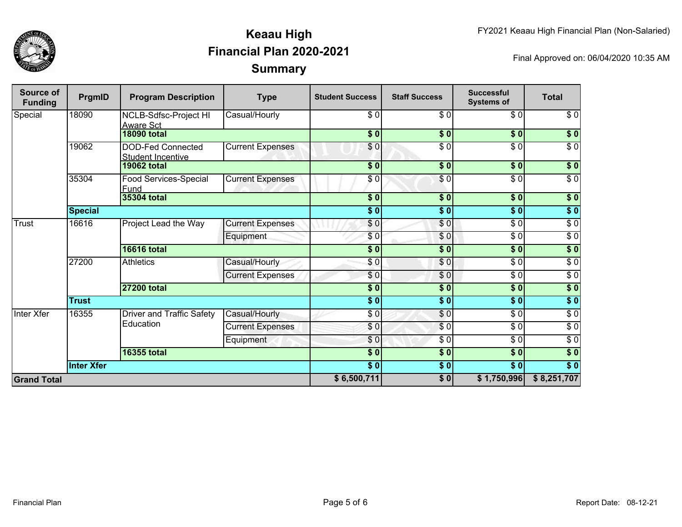

| <b>Source of</b><br><b>Funding</b> | PrgmID            | <b>Program Description</b>                           | <b>Type</b>             | <b>Student Success</b>                  | <b>Staff Success</b>     | <b>Successful</b><br><b>Systems of</b> | <b>Total</b>     |
|------------------------------------|-------------------|------------------------------------------------------|-------------------------|-----------------------------------------|--------------------------|----------------------------------------|------------------|
| Special                            | 18090             | NCLB-Sdfsc-Project HI<br><b>Aware Sct</b>            | Casual/Hourly           | \$0                                     | \$0                      | \$0                                    | $\overline{60}$  |
|                                    |                   | <b>18090 total</b>                                   |                         | \$0]                                    | \$0                      | $\overline{\$0}$                       | $\sqrt{6}$       |
|                                    | 19062             | <b>DOD-Fed Connected</b><br><b>Student Incentive</b> | <b>Current Expenses</b> | \$0                                     | $\sqrt{6}$               | $\overline{\$0}$                       | $\overline{\$0}$ |
|                                    |                   | <b>19062 total</b>                                   |                         | \$0]                                    | $\frac{1}{2}$            | $\sqrt{5}$                             | \$0              |
|                                    | 35304             | Food Services-Special<br>Fund                        | <b>Current Expenses</b> | \$0                                     | $\overline{\frac{6}{9}}$ | $\sqrt{6}$                             | $\sqrt{6}$       |
|                                    |                   | 35304 total                                          |                         | $\overline{\boldsymbol{50}}$            | \$0                      | $\overline{\$0}$                       | $\sqrt{6}$       |
|                                    | <b>Special</b>    |                                                      |                         | $\vert \boldsymbol{\overline{s}} \vert$ | $\sqrt{6}$               | $\overline{\$0}$                       | $\sqrt{6}$       |
| <b>Trust</b>                       | 16616             | Project Lead the Way                                 | <b>Current Expenses</b> | \$0                                     | $\overline{\$0}$         | $\overline{\$0}$                       | $\sqrt{6}$       |
|                                    |                   |                                                      | Equipment               | \$0                                     | \$0                      | $\overline{\$0}$                       | $\overline{60}$  |
|                                    |                   | <b>16616 total</b>                                   |                         | \$0                                     | $\sqrt{6}$               | $\overline{\$0}$                       | $\overline{\$0}$ |
|                                    | 27200             | <b>Athletics</b>                                     | Casual/Hourly           | $\overline{\$0}$                        | \$0                      | $\sqrt{6}$                             | $\overline{60}$  |
|                                    |                   |                                                      | <b>Current Expenses</b> | \$0                                     | \$0                      | $\sqrt{6}$                             | $\sqrt{6}$       |
|                                    |                   | 27200 total                                          |                         | $\overline{\$0}$                        | \$0                      | \$0                                    | $\sqrt{50}$      |
|                                    | <b>Trust</b>      |                                                      |                         | $\overline{\$0}$                        | $\overline{\$0}$         | $\overline{\$0}$                       | $\sqrt{6}$       |
| Inter Xfer                         | 16355             | <b>Driver and Traffic Safety</b><br>Education        | Casual/Hourly           | \$0                                     | \$0                      | $\sqrt{6}$                             | $\sqrt{6}$       |
|                                    |                   |                                                      | <b>Current Expenses</b> | \$0                                     | $\overline{\$0}$         | $\sqrt{6}$                             | $\sqrt{6}$       |
|                                    |                   |                                                      | Equipment               | \$0                                     | \$0                      | $\sqrt{6}$                             | $\sqrt{6}$       |
|                                    |                   | 16355 total                                          |                         | $\overline{\$0}$                        | $\overline{\$0}$         | \$0]                                   | $\overline{\$0}$ |
|                                    | <b>Inter Xfer</b> |                                                      |                         | $\overline{\$0}$                        | $\sqrt{6}$               | $\overline{\$0}$                       | $\overline{\$0}$ |
| <b>Grand Total</b>                 |                   |                                                      |                         | \$6,500,711                             | $\sqrt{6}$               | \$1,750,996                            | \$8,251,707      |